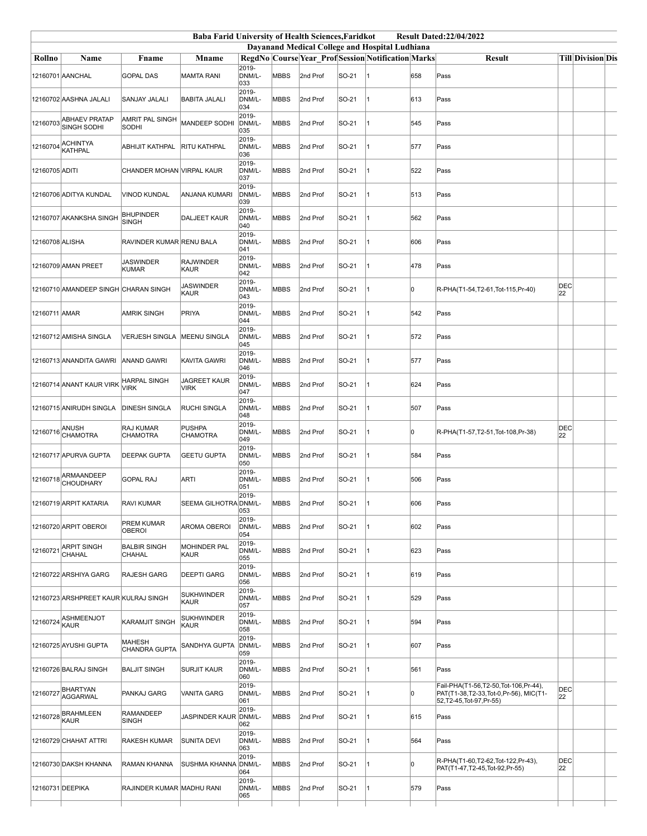|                 |                                         |                                     | <b>Baba Farid University of Health Sciences, Faridkot</b> |                           |             |          |       |                                                    |     | <b>Result Dated:22/04/2022</b>                                                                             |                  |                   |  |  |  |
|-----------------|-----------------------------------------|-------------------------------------|-----------------------------------------------------------|---------------------------|-------------|----------|-------|----------------------------------------------------|-----|------------------------------------------------------------------------------------------------------------|------------------|-------------------|--|--|--|
|                 |                                         |                                     |                                                           |                           |             |          |       | Dayanand Medical College and Hospital Ludhiana     |     |                                                                                                            |                  |                   |  |  |  |
| Rollno          | Name                                    | Fname                               | <b>Mname</b>                                              |                           |             |          |       | RegdNo Course Year Prof Session Notification Marks |     | <b>Result</b>                                                                                              |                  | Till Division Dis |  |  |  |
|                 | 12160701 AANCHAL                        | <b>GOPAL DAS</b>                    | <b>MAMTA RANI</b>                                         | $2019 -$<br>DNM/L-<br>033 | <b>MBBS</b> | 2nd Prof | SO-21 |                                                    | 658 | Pass                                                                                                       |                  |                   |  |  |  |
|                 | 12160702 AASHNA JALALI                  | SANJAY JALALI                       | <b>BABITA JALALI</b>                                      | 2019-<br>DNM/L-<br>034    | <b>MBBS</b> | 2nd Prof | SO-21 |                                                    | 613 | Pass                                                                                                       |                  |                   |  |  |  |
| 12160703        | <b>ABHAEV PRATAP</b><br>SINGH SODHI     | AMRIT PAL SINGH<br>SODHI            | MANDEEP SODHI                                             | 2019-<br>DNM/L-<br>035    | <b>MBBS</b> | 2nd Prof | SO-21 |                                                    | 545 | Pass                                                                                                       |                  |                   |  |  |  |
| 12160704        | <b>ACHINTYA</b><br><b>KATHPAL</b>       | <b>ABHIJIT KATHPAL</b>              | RITU KATHPAL                                              | 2019-<br>DNM/L-<br>036    | <b>MBBS</b> | 2nd Prof | SO-21 |                                                    | 577 | Pass                                                                                                       |                  |                   |  |  |  |
| 12160705 ADITI  |                                         | CHANDER MOHAN VIRPAL KAUR           |                                                           | 2019-<br>DNM/L-<br>037    | <b>MBBS</b> | 2nd Prof | SO-21 |                                                    | 522 | Pass                                                                                                       |                  |                   |  |  |  |
|                 | 12160706 ADITYA KUNDAL                  | <b>VINOD KUNDAL</b>                 | ANJANA KUMARI                                             | 2019-<br>DNM/L-<br>039    | <b>MBBS</b> | 2nd Prof | SO-21 |                                                    | 513 | Pass                                                                                                       |                  |                   |  |  |  |
|                 | 12160707 AKANKSHA SINGH                 | <b>BHUPINDER</b><br><b>SINGH</b>    | <b>DALJEET KAUR</b>                                       | 2019-<br>DNM/L-<br>040    | MBBS        | 2nd Prof | SO-21 |                                                    | 562 | Pass                                                                                                       |                  |                   |  |  |  |
| 12160708 ALISHA |                                         | RAVINDER KUMAR RENU BALA            |                                                           | 2019-<br>DNM/L-<br>041    | <b>MBBS</b> | 2nd Prof | SO-21 |                                                    | 606 | Pass                                                                                                       |                  |                   |  |  |  |
|                 | 12160709 AMAN PREET                     | <b>JASWINDER</b><br><b>KUMAR</b>    | <b>RAJWINDER</b><br>KAUR                                  | 2019-<br>DNM/L-<br>042    | MBBS        | 2nd Prof | SO-21 |                                                    | 478 | Pass                                                                                                       |                  |                   |  |  |  |
|                 | 12160710 AMANDEEP SINGH CHARAN SINGH    |                                     | <b>JASWINDER</b><br><b>KAUR</b>                           | 2019-<br>DNM/L-<br>043    | <b>MBBS</b> | 2nd Prof | SO-21 |                                                    | 0   | R-PHA(T1-54,T2-61,Tot-115,Pr-40)                                                                           | <b>DEC</b><br>22 |                   |  |  |  |
| 12160711 AMAR   |                                         | <b>AMRIK SINGH</b>                  | PRIYA                                                     | 2019-<br>DNM/L-<br>044    | <b>MBBS</b> | 2nd Prof | SO-21 |                                                    | 542 | Pass                                                                                                       |                  |                   |  |  |  |
|                 | 12160712 AMISHA SINGLA                  | <b>VERJESH SINGLA</b>               | <b>MEENU SINGLA</b>                                       | 2019-<br>DNM/L-<br>045    | <b>MBBS</b> | 2nd Prof | SO-21 |                                                    | 572 | Pass                                                                                                       |                  |                   |  |  |  |
|                 | 12160713 ANANDITA GAWRI                 | <b>ANAND GAWRI</b>                  | KAVITA GAWRI                                              | 2019-<br>DNM/L-<br>046    | MBBS        | 2nd Prof | SO-21 |                                                    | 577 | Pass                                                                                                       |                  |                   |  |  |  |
|                 | 12160714 ANANT KAUR VIRK                | <b>HARPAL SINGH</b><br><b>VIRK</b>  | <b>JAGREET KAUR</b><br><b>VIRK</b>                        | 2019-<br>DNM/L-<br>047    | <b>MBBS</b> | 2nd Prof | SO-21 |                                                    | 624 | Pass                                                                                                       |                  |                   |  |  |  |
|                 | 12160715 ANIRUDH SINGLA                 | <b>DINESH SINGLA</b>                | <b>RUCHI SINGLA</b>                                       | 2019-<br>DNM/L-<br>048    | <b>MBBS</b> | 2nd Prof | SO-21 |                                                    | 507 | Pass                                                                                                       |                  |                   |  |  |  |
| 12160716 ANUSH  | <b>CHAMOTRA</b>                         | <b>RAJ KUMAR</b><br><b>CHAMOTRA</b> | <b>PUSHPA</b><br><b>CHAMOTRA</b>                          | 2019-<br>DNM/L-<br>049    | <b>MBBS</b> | 2nd Prof | SO-21 |                                                    | O   | R-PHA(T1-57,T2-51,Tot-108,Pr-38)                                                                           | <b>DEC</b><br>22 |                   |  |  |  |
|                 | 12160717 APURVA GUPTA                   | <b>DEEPAK GUPTA</b>                 | <b>GEETU GUPTA</b>                                        | 2019-<br>DNM/L-<br>050    | <b>MBBS</b> | 2nd Prof | SO-21 |                                                    | 584 | Pass                                                                                                       |                  |                   |  |  |  |
|                 | 12160718 ARMAANDEEP<br><b>CHOUDHARY</b> | <b>GOPAL RAJ</b>                    | <b>ARTI</b>                                               | 2019-<br>DNM/L-<br>051    | <b>MBBS</b> | 2nd Prof | SO-21 |                                                    | 506 | Pass                                                                                                       |                  |                   |  |  |  |
|                 | 12160719 ARPIT KATARIA                  | <b>RAVI KUMAR</b>                   | SEEMA GILHOTRA DNM/L                                      | 2019-<br>053              | MBBS        | 2nd Prof | SO-21 |                                                    | 606 | Pass                                                                                                       |                  |                   |  |  |  |
|                 | 12160720 ARPIT OBEROI                   | <b>PREM KUMAR</b><br><b>OBEROI</b>  | <b>AROMA OBEROI</b>                                       | 2019-<br>DNM/L-<br>054    | MBBS        | 2nd Prof | SO-21 | 11                                                 | 602 | Pass                                                                                                       |                  |                   |  |  |  |
| 12160721        | <b>ARPIT SINGH</b><br>CHAHAL            | <b>BALBIR SINGH</b><br>CHAHAL       | MOHINDER PAL<br><b>KAUR</b>                               | 2019-<br>DNM/L-<br>055    | <b>MBBS</b> | 2nd Prof | SO-21 | 11                                                 | 623 | Pass                                                                                                       |                  |                   |  |  |  |
|                 | 12160722 ARSHIYA GARG                   | <b>RAJESH GARG</b>                  | <b>DEEPTI GARG</b>                                        | 2019-<br>DNM/L-<br>056    | <b>MBBS</b> | 2nd Prof | SO-21 | 11                                                 | 619 | Pass                                                                                                       |                  |                   |  |  |  |
|                 | 12160723 ARSHPREET KAUR KULRAJ SINGH    |                                     | <b>SUKHWINDER</b><br><b>KAUR</b>                          | 2019-<br>DNM/L-<br>057    | <b>MBBS</b> | 2nd Prof | SO-21 | 11                                                 | 529 | Pass                                                                                                       |                  |                   |  |  |  |
| 12160724        | ASHMEENJOT<br>KAUR                      | <b>KARAMJIT SINGH</b>               | <b>SUKHWINDER</b><br>KAUR                                 | 2019-<br>DNM/L-<br>058    | <b>MBBS</b> | 2nd Prof | SO-21 | 11                                                 | 594 | Pass                                                                                                       |                  |                   |  |  |  |
|                 | 12160725 AYUSHI GUPTA                   | <b>MAHESH</b><br>CHANDRA GUPTA      | SANDHYA GUPTA                                             | 2019-<br>DNM/L-<br>059    | MBBS        | 2nd Prof | SO-21 | 11                                                 | 607 | Pass                                                                                                       |                  |                   |  |  |  |
|                 | 12160726 BALRAJ SINGH                   | <b>BALJIT SINGH</b>                 | <b>SURJIT KAUR</b>                                        | 2019-<br>DNM/L-<br>060    | <b>MBBS</b> | 2nd Prof | SO-21 | 11                                                 | 561 | Pass                                                                                                       |                  |                   |  |  |  |
|                 | 12160727 BHARTYAN<br><b>AGGARWAL</b>    | PANKAJ GARG                         | <b>VANITA GARG</b>                                        | 2019-<br>DNM/L-<br>061    | MBBS        | 2nd Prof | SO-21 | 11                                                 | l0  | Fail-PHA(T1-56,T2-50,Tot-106,Pr-44),<br>PAT(T1-38,T2-33,Tot-0,Pr-56), MIC(T1-<br>52, T2-45, Tot-97, Pr-55) | <b>DEC</b><br>22 |                   |  |  |  |
|                 | 12160728 BRAHMLEEN<br>KAUR              | <b>RAMANDEEP</b><br>SINGH           | JASPINDER KAUR                                            | 2019-<br>DNM/L-<br>062    | MBBS        | 2nd Prof | SO-21 | 1                                                  | 615 | Pass                                                                                                       |                  |                   |  |  |  |
|                 | 12160729 CHAHAT ATTRI                   | <b>RAKESH KUMAR</b>                 | <b>SUNITA DEVI</b>                                        | 2019-<br>DNM/L-<br>063    | <b>MBBS</b> | 2nd Prof | SO-21 | 11                                                 | 564 | Pass                                                                                                       |                  |                   |  |  |  |
|                 | 12160730 DAKSH KHANNA                   | <b>RAMAN KHANNA</b>                 | SUSHMA KHANNA                                             | 2019-<br>DNM/L-<br>064    | <b>MBBS</b> | 2nd Prof | SO-21 | 11                                                 | 0   | R-PHA(T1-60,T2-62,Tot-122,Pr-43),<br>PAT(T1-47,T2-45,Tot-92,Pr-55)                                         | <b>DEC</b><br>22 |                   |  |  |  |
|                 | 12160731 DEEPIKA                        | RAJINDER KUMAR MADHU RANI           |                                                           | 2019-<br>DNM/L-<br>065    | MBBS        | 2nd Prof | SO-21 |                                                    | 579 | Pass                                                                                                       |                  |                   |  |  |  |
|                 |                                         |                                     |                                                           |                           |             |          |       |                                                    |     |                                                                                                            |                  |                   |  |  |  |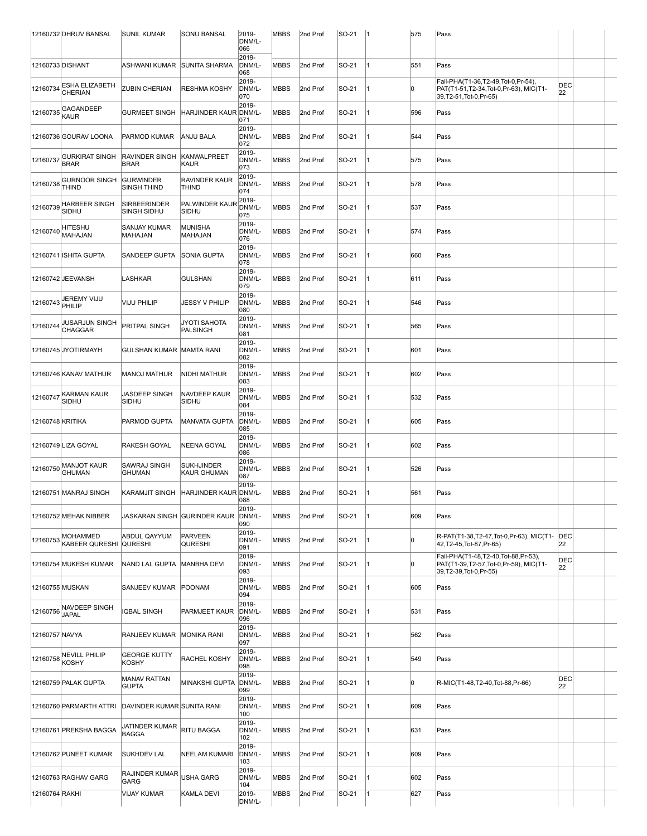|                  | 12160732 DHRUV BANSAL                    | <b>SUNIL KUMAR</b>                        | SONU BANSAL                             | 2019-<br>DNM/L-<br>066 | MBBS        | 2nd Prof | $ SO-21 $ | 11 | 575 | Pass                                                                                                     |                  |  |
|------------------|------------------------------------------|-------------------------------------------|-----------------------------------------|------------------------|-------------|----------|-----------|----|-----|----------------------------------------------------------------------------------------------------------|------------------|--|
| 12160733 DISHANT |                                          | <b>ASHWANI KUMAR</b>                      | <b>SUNITA SHARMA</b>                    | 2019-<br>DNM/L-<br>068 | <b>MBBS</b> | 2nd Prof | SO-21     | 1  | 551 | Pass                                                                                                     |                  |  |
| 12160734         | ESHA ELIZABETH<br>CHERIAN                | <b>ZUBIN CHERIAN</b>                      | <b>RESHMA KOSHY</b>                     | 2019-<br>DNM/L-<br>070 | <b>MBBS</b> | 2nd Prof | SO-21     | 1  | 10  | Fail-PHA(T1-36,T2-49,Tot-0,Pr-54),<br>PAT(T1-51,T2-34,Tot-0,Pr-63), MIC(T1-<br>39, T2-51, Tot-0, Pr-65)  | DEC<br>22        |  |
| 12160735         | GAGANDEEP<br>KAUR                        | <b>GURMEET SINGH</b>                      | HARJINDER KAUR DNM/L-                   | 2019-<br>071           | MBBS        | 2nd Prof | SO-21     | 1  | 596 | Pass                                                                                                     |                  |  |
|                  | 12160736 GOURAV LOONA                    | PARMOD KUMAR                              | ANJU BALA                               | 2019-<br>DNM/L-<br>072 | <b>MBBS</b> | 2nd Prof | SO-21     | 1  | 544 | Pass                                                                                                     |                  |  |
| 12160737         | <b>GURKIRAT SINGH</b><br><b>BRAR</b>     | RAVINDER SINGH<br><b>BRAR</b>             | <b>KANWALPREET</b><br>KAUR              | 2019-<br>DNM/L-<br>073 | <b>MBBS</b> | 2nd Prof | SO-21     | 1  | 575 | Pass                                                                                                     |                  |  |
| 12160738         | <b>GURNOOR SINGH</b><br><b>THIND</b>     | <b>GURWINDER</b><br><b>SINGH THIND</b>    | RAVINDER KAUR<br>THIND                  | 2019-<br>DNM/L-<br>074 | <b>MBBS</b> | 2nd Prof | SO-21     | 1  | 578 | Pass                                                                                                     |                  |  |
| 12160739         | HARBEER SINGH<br>SIDHU                   | <b>SIRBEERINDER</b><br><b>SINGH SIDHU</b> | PALWINDER KAUR<br>SIDHU                 | 2019-<br>DNM/L-<br>075 | MBBS        | 2nd Prof | SO-21     | 1  | 537 | Pass                                                                                                     |                  |  |
| 12160740         | HITESHU<br>MAHAJAN                       | SANJAY KUMAR<br>MAHAJAN                   | <b>MUNISHA</b><br>MAHAJAN               | 2019-<br>DNM/L-<br>076 | <b>MBBS</b> | 2nd Prof | SO-21     | 1  | 574 | Pass                                                                                                     |                  |  |
|                  | 12160741 ISHITA GUPTA                    | SANDEEP GUPTA                             | <b>SONIA GUPTA</b>                      | 2019-<br>DNM/L-<br>078 | <b>MBBS</b> | 2nd Prof | SO-21     | 1  | 660 | Pass                                                                                                     |                  |  |
|                  | 12160742 JEEVANSH                        | LASHKAR                                   | <b>GULSHAN</b>                          | 2019-<br>DNM/L-<br>079 | <b>MBBS</b> | 2nd Prof | SO-21     | 1  | 611 | Pass                                                                                                     |                  |  |
| 12160743 PHILIP  | JEREMY VIJU                              | VIJU PHILIP                               | JESSY V PHILIP                          | 2019-<br>DNM/L-<br>080 | MBBS        | 2nd Prof | SO-21     | 1  | 546 | Pass                                                                                                     |                  |  |
| 12160744         | JUSARJUN SINGH<br><b>CHAGGAR</b>         | PRITPAL SINGH                             | JYOTI SAHOTA<br>PALSINGH                | 2019-<br>DNM/L-<br>081 | <b>MBBS</b> | 2nd Prof | SO-21     | 1  | 565 | Pass                                                                                                     |                  |  |
|                  | 12160745 JYOTIRMAYH                      | GULSHAN KUMAR   MAMTA RANI                |                                         | 2019-<br>DNM/L-<br>082 | <b>MBBS</b> | 2nd Prof | SO-21     | 11 | 601 | Pass                                                                                                     |                  |  |
|                  | 12160746 KANAV MATHUR                    | <b>MANOJ MATHUR</b>                       | NIDHI MATHUR                            | 2019-<br>DNM/L-<br>083 | <b>MBBS</b> | 2nd Prof | SO-21     | 1  | 602 | Pass                                                                                                     |                  |  |
| 12160747         | KARMAN KAUR<br>SIDHU                     | JASDEEP SINGH<br>SIDHU                    | NAVDEEP KAUR<br>SIDHU                   | 2019-<br>DNM/L-<br>084 | <b>MBBS</b> | 2nd Prof | SO-21     | 1  | 532 | Pass                                                                                                     |                  |  |
| 12160748 KRITIKA |                                          | PARMOD GUPTA                              | MANVATA GUPTA                           | 2019-<br>DNM/L-<br>085 | <b>MBBS</b> | 2nd Prof | SO-21     | 11 | 605 | Pass                                                                                                     |                  |  |
|                  | 12160749 LIZA GOYAL                      | RAKESH GOYAL                              | <b>NEENA GOYAL</b>                      | 2019-<br>DNM/L-<br>086 | <b>MBBS</b> | 2nd Prof | SO-21     | 1  | 602 | Pass                                                                                                     |                  |  |
| 12160750         | MANJOT KAUR<br><b>GHUMAN</b>             | SAWRAJ SINGH<br><b>GHUMAN</b>             | <b>SUKHJINDER</b><br><b>KAUR GHUMAN</b> | 2019-<br>DNM/L-<br>087 | <b>MBBS</b> | 2nd Prof | SO-21     | 1  | 526 | Pass                                                                                                     |                  |  |
|                  | 12160751 MANRAJ SINGH                    | KARAMJIT SINGH                            | HARJINDER KAUR DNM/L-                   | 2019-<br>088           | MBBS        | 2nd Prof | SO-21     | 1  | 561 | Pass                                                                                                     |                  |  |
|                  | 12160752 MEHAK NIBBER                    |                                           | JASKARAN SINGH  GURINDER KAUR           | 2019-<br>DNM/L-<br>090 | <b>MBBS</b> | 2nd Prof | SO-21     | 11 | 609 | Pass                                                                                                     |                  |  |
| 12160753         | <b>MOHAMMED</b><br><b>KABEER QURESHI</b> | ABDUL QAYYUM<br><b>QURESHI</b>            | <b>PARVEEN</b><br><b>QURESHI</b>        | 2019-<br>DNM/L-<br>091 | <b>MBBS</b> | 2nd Prof | SO-21     | 11 | 10  | R-PAT(T1-38,T2-47,Tot-0,Pr-63), MIC(T1-<br>42, T2-45, Tot-87, Pr-65)                                     | DEC<br>22        |  |
|                  | 12160754 MUKESH KUMAR                    | NAND LAL GUPTA                            | <b>MANBHA DEVI</b>                      | 2019-<br>DNM/L-<br>093 | <b>MBBS</b> | 2nd Prof | SO-21     | 1  | 10  | Fail-PHA(T1-48,T2-40,Tot-88,Pr-53),<br>PAT(T1-39,T2-57,Tot-0,Pr-59), MIC(T1-<br>39, T2-39, Tot-0, Pr-55) | <b>DEC</b><br>22 |  |
| 12160755 MUSKAN  |                                          | SANJEEV KUMAR                             | POONAM                                  | 2019-<br>DNM/L-<br>094 | <b>MBBS</b> | 2nd Prof | SO-21     | 1  | 605 | Pass                                                                                                     |                  |  |
| 12160756         | NAVDEEP SINGH<br><b>JAPAL</b>            | IQBAL SINGH                               | PARMJEET KAUR                           | 2019-<br>DNM/L-<br>096 | <b>MBBS</b> | 2nd Prof | SO-21     | 11 | 531 | Pass                                                                                                     |                  |  |
| 12160757 NAVYA   |                                          | RANJEEV KUMAR                             | <b>MONIKA RANI</b>                      | 2019-<br>DNM/L-<br>097 | <b>MBBS</b> | 2nd Prof | SO-21     | 1  | 562 | Pass                                                                                                     |                  |  |
| 12160758 KOSHY   | <b>NEVILL PHILIP</b>                     | <b>GEORGE KUTTY</b><br><b>KOSHY</b>       | <b>RACHEL KOSHY</b>                     | 2019-<br>DNM/L-<br>098 | <b>MBBS</b> | 2nd Prof | SO-21     | 1  | 549 | Pass                                                                                                     |                  |  |
|                  | 12160759 PALAK GUPTA                     | <b>MANAV RATTAN</b><br><b>GUPTA</b>       | MINAKSHI GUPTA                          | 2019-<br>DNM/L-<br>099 | MBBS        | 2nd Prof | SO-21     | 1  | lo  | R-MIC(T1-48,T2-40,Tot-88,Pr-66)                                                                          | DEC<br>22        |  |
|                  | 12160760 PARMARTH ATTRI                  | DAVINDER KUMAR SUNITA RANI                |                                         | 2019-<br>DNM/L-<br>100 | <b>MBBS</b> | 2nd Prof | SO-21     | 11 | 609 | Pass                                                                                                     |                  |  |
|                  | 12160761 PREKSHA BAGGA                   | JATINDER KUMAR<br><b>BAGGA</b>            | <b>RITU BAGGA</b>                       | 2019-<br>DNM/L-<br>102 | <b>MBBS</b> | 2nd Prof | SO-21     | 11 | 631 | Pass                                                                                                     |                  |  |
|                  | 12160762 PUNEET KUMAR                    | <b>SUKHDEV LAL</b>                        | <b>NEELAM KUMARI</b>                    | 2019-<br>DNM/L-<br>103 | <b>MBBS</b> | 2nd Prof | SO-21     | 1  | 609 | Pass                                                                                                     |                  |  |
|                  | 12160763 RAGHAV GARG                     | <b>RAJINDER KUMAR</b><br>GARG             | USHA GARG                               | 2019-<br>DNM/L-<br>104 | <b>MBBS</b> | 2nd Prof | SO-21     | 1  | 602 | Pass                                                                                                     |                  |  |
| 12160764 RAKHI   |                                          | <b>VIJAY KUMAR</b>                        | KAMLA DEVI                              | 2019-<br>DNM/L-        | <b>MBBS</b> | 2nd Prof | SO-21     | 1  | 627 | Pass                                                                                                     |                  |  |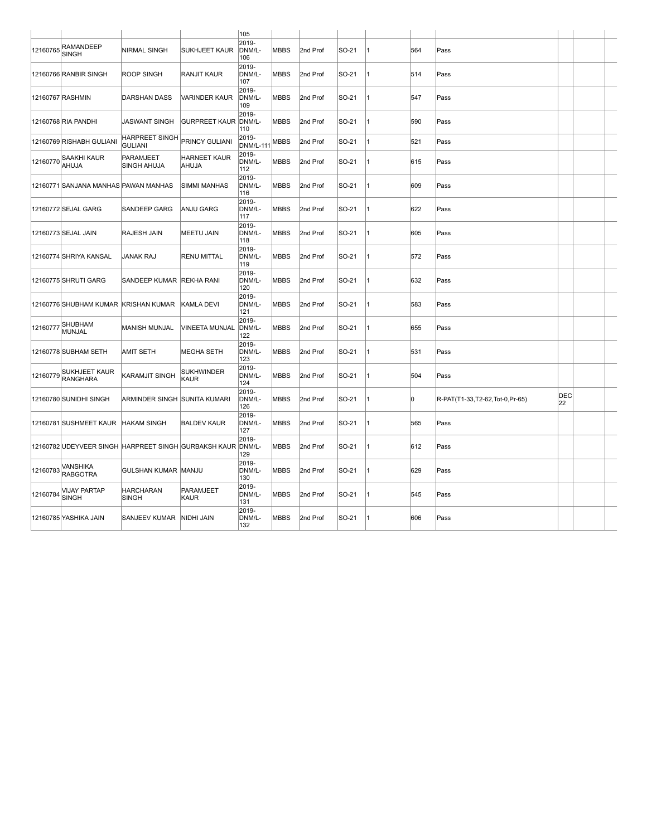|          |                                                      |                                         |                       | 105                       |             |          |       |    |     |                                |           |  |
|----------|------------------------------------------------------|-----------------------------------------|-----------------------|---------------------------|-------------|----------|-------|----|-----|--------------------------------|-----------|--|
| 12160765 | RAMANDEEP<br><b>SINGH</b>                            | <b>NIRMAL SINGH</b>                     | SUKHJEET KAUR         | 2019-<br>DNM/L-<br>106    | <b>MBBS</b> | 2nd Prof | SO-21 | 11 | 564 | Pass                           |           |  |
|          | 12160766 RANBIR SINGH                                | <b>ROOP SINGH</b>                       | RANJIT KAUR           | 2019-<br>DNM/L-<br>107    | <b>MBBS</b> | 2nd Prof | SO-21 | 11 | 514 | Pass                           |           |  |
|          | 12160767 RASHMIN                                     | DARSHAN DASS                            | <b>VARINDER KAUR</b>  | 2019-<br>DNM/L-<br>109    | <b>MBBS</b> | 2nd Prof | SO-21 |    | 547 | Pass                           |           |  |
|          | 12160768 RIA PANDHI                                  | JASWANT SINGH                           | <b>GURPREET KAUR</b>  | 2019-<br>DNM/L-<br>110    | <b>MBBS</b> | 2nd Prof | SO-21 | 11 | 590 | Pass                           |           |  |
|          | 12160769 RISHABH GULIANI                             | <b>HARPREET SINGH</b><br><b>GULIANI</b> | PRINCY GULIANI        | 2019-<br><b>DNM/L-111</b> | <b>MBBS</b> | 2nd Prof | SO-21 | 1  | 521 | Pass                           |           |  |
| 12160770 | SAAKHI KAUR<br>AHUJA                                 | PARAMJEET<br><b>SINGH AHUJA</b>         | HARNEET KAUR<br>AHUJA | 2019-<br>DNM/L-<br>112    | <b>MBBS</b> | 2nd Prof | SO-21 | 11 | 615 | Pass                           |           |  |
|          | 12160771 SANJANA MANHAS PAWAN MANHAS                 |                                         | SIMMI MANHAS          | 2019-<br>DNM/L-<br>116    | <b>MBBS</b> | 2nd Prof | SO-21 | 1  | 609 | Pass                           |           |  |
|          | 12160772 SEJAL GARG                                  | <b>SANDEEP GARG</b>                     | <b>ANJU GARG</b>      | 2019-<br>DNM/L-<br>117    | <b>MBBS</b> | 2nd Prof | SO-21 | 11 | 622 | Pass                           |           |  |
|          | 12160773 SEJAL JAIN                                  | <b>RAJESH JAIN</b>                      | MEETU JAIN            | 2019-<br>DNM/L-<br>118    | <b>MBBS</b> | 2nd Prof | SO-21 | 1  | 605 | Pass                           |           |  |
|          | 12160774 SHRIYA KANSAL                               | <b>JANAK RAJ</b>                        | RENU MITTAL           | 2019-<br>DNM/L-<br>119    | <b>MBBS</b> | 2nd Prof | SO-21 | 1  | 572 | Pass                           |           |  |
|          | 12160775 SHRUTI GARG                                 | SANDEEP KUMAR                           | <b>REKHA RANI</b>     | 2019-<br>DNM/L-<br>120    | <b>MBBS</b> | 2nd Prof | SO-21 | 11 | 632 | Pass                           |           |  |
|          | 12160776 SHUBHAM KUMAR KRISHAN KUMAR                 |                                         | KAMLA DEVI            | 2019-<br>DNM/L-<br>121    | <b>MBBS</b> | 2nd Prof | SO-21 | 11 | 583 | Pass                           |           |  |
| 12160777 | SHUBHAM<br>MUNJAL                                    | IMANISH MUNJAL                          | VINEETA MUNJAL        | 2019-<br>DNM/L-<br>122    | <b>MBBS</b> | 2nd Prof | SO-21 | 11 | 655 | Pass                           |           |  |
|          | 12160778 SUBHAM SETH                                 | <b>AMIT SETH</b>                        | MEGHA SETH            | 2019-<br>DNM/L-<br>123    | <b>MBBS</b> | 2nd Prof | SO-21 | 1  | 531 | Pass                           |           |  |
| 12160779 | SUKHJEET KAUR<br><b>RANGHARA</b>                     | KARAMJIT SINGH                          | SUKHWINDER<br>KAUR    | 2019-<br>DNM/L-<br>124    | <b>MBBS</b> | 2nd Prof | SO-21 | 11 | 504 | Pass                           |           |  |
|          | 12160780 SUNIDHI SINGH                               | ARMINDER SINGH SUNITA KUMARI            |                       | 2019-<br>DNM/L-<br>126    | <b>MBBS</b> | 2nd Prof | SO-21 | 1  | lo. | R-PAT(T1-33,T2-62,Tot-0,Pr-65) | DEC<br>22 |  |
|          | 12160781 SUSHMEET KAUR                               | <b>HAKAM SINGH</b>                      | <b>BALDEV KAUR</b>    | 2019-<br>DNM/L-<br>127    | <b>MBBS</b> | 2nd Prof | SO-21 | 11 | 565 | Pass                           |           |  |
|          | 12160782 UDEYVEER SINGH HARPREET SINGH GURBAKSH KAUR |                                         |                       | 2019-<br>DNM/L-<br>129    | <b>MBBS</b> | 2nd Prof | SO-21 | 11 | 612 | Pass                           |           |  |
| 12160783 | VANSHIKA<br><b>RABGOTRA</b>                          | GULSHAN KUMAR                           | MANJU                 | 2019-<br>DNM/L-<br>130    | <b>MBBS</b> | 2nd Prof | SO-21 |    | 629 | Pass                           |           |  |
| 12160784 | <b>VIJAY PARTAP</b><br><b>SINGH</b>                  | <b>HARCHARAN</b><br><b>SINGH</b>        | PARAMJEET<br>KAUR     | 2019-<br>DNM/L-<br>131    | <b>MBBS</b> | 2nd Prof | SO-21 | 1  | 545 | Pass                           |           |  |
|          | 12160785 YASHIKA JAIN                                | SANJEEV KUMAR NIDHI JAIN                |                       | 2019-<br>DNM/L-<br>132    | <b>MBBS</b> | 2nd Prof | SO-21 | 11 | 606 | Pass                           |           |  |